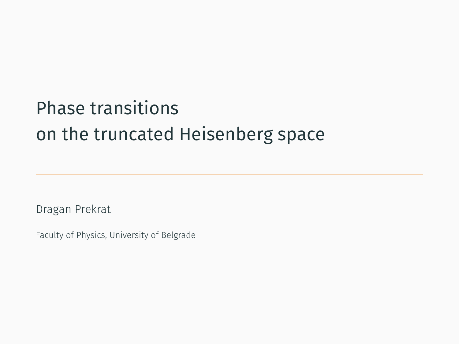# Phase transitions on the truncated Heisenberg space

Dragan Prekrat

Faculty of Physics, University of Belgrade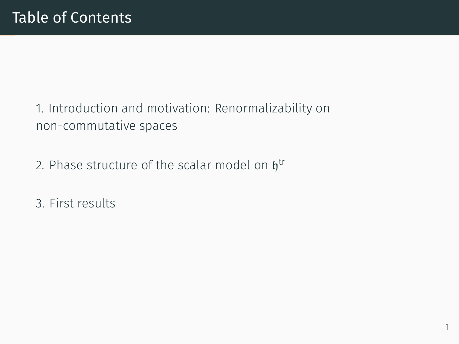# Table of Contents

1. Introduction and motivation: Renormalizability on non-commutative spaces

- 2. Phase structure of the scalar model on  $\mathfrak{h}^{\mathrm{tr}}$
- 3. First results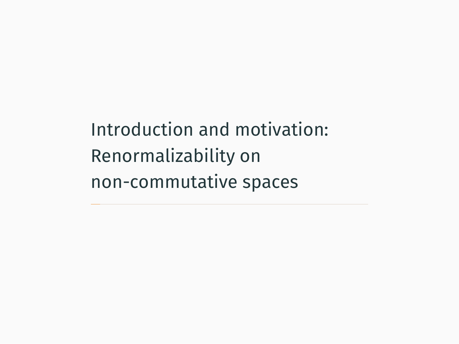Introduction and motivation: Renormalizability on non-commutative spaces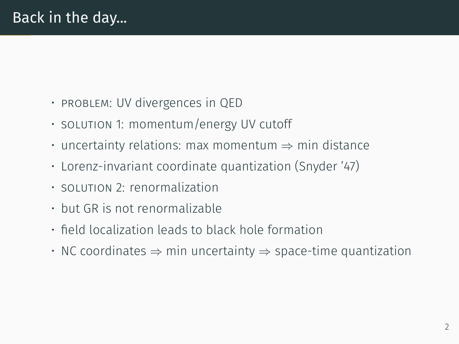- problem: UV divergences in QED
- solution 1: momentum/energy UV cutoff
- uncertainty relations: max momentum *⇒* min distance
- Lorenz-invariant coordinate quantization (Snyder '47)
- $\cdot$  solution 2: renormalization
- but GR is not renormalizable
- field localization leads to black hole formation
- NC coordinates *⇒* min uncertainty *⇒* space-time quantization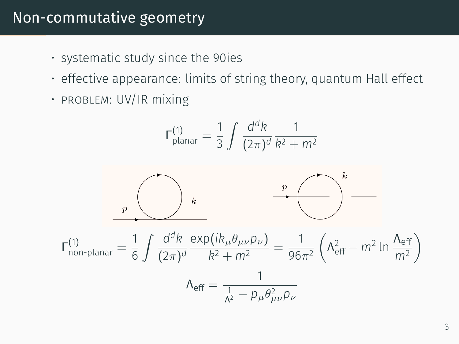#### Non-commutative geometry

- systematic study since the 90ies
- effective appearance: limits of string theory, quantum Hall effect
- PROBLEM: UV/IR mixing

$$
\Gamma_{\text{planar}}^{(1)} = \frac{1}{3} \int \frac{d^d k}{(2\pi)^d} \frac{1}{k^2 + m^2}
$$

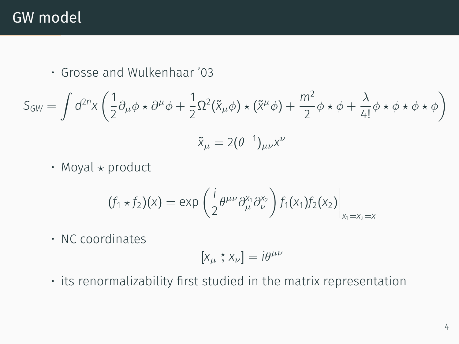#### GW model

• Grosse and Wulkenhaar '03

$$
S_{GW} = \int d^{2n}x \left( \frac{1}{2} \partial_{\mu} \phi \star \partial^{\mu} \phi + \frac{1}{2} \Omega^{2} (\tilde{x}_{\mu} \phi) \star (\tilde{x}^{\mu} \phi) + \frac{m^{2}}{2} \phi \star \phi + \frac{\lambda}{4!} \phi \star \phi \star \phi \star \phi \right)
$$

$$
\tilde{x}_{\mu} = 2(\theta^{-1})_{\mu\nu}x^{\nu}
$$

• Moyal *⋆* product

$$
(f_1 \star f_2)(x) = \exp\left(\frac{i}{2}\theta^{\mu\nu}\partial_{\mu}^{x_1}\partial_{\nu}^{x_2}\right)f_1(x_1)f_2(x_2)\Big|_{x_1=x_2=x}
$$

• NC coordinates

$$
[x_\mu \stackrel{\star}{,} x_\nu] = i\theta^{\mu\nu}
$$

• its renormalizability first studied in the matrix representation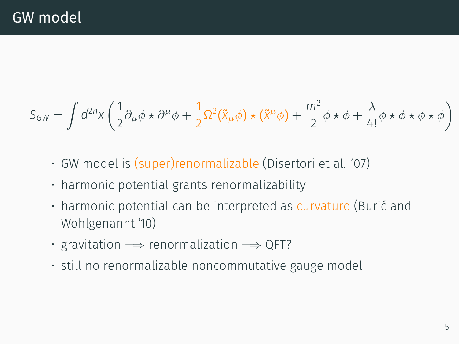$$
S_{GW} = \int d^{2n}x \left( \frac{1}{2} \partial_{\mu} \phi \star \partial^{\mu} \phi + \frac{1}{2} \Omega^{2} (\tilde{x}_{\mu} \phi) \star (\tilde{x}^{\mu} \phi) + \frac{m^{2}}{2} \phi \star \phi + \frac{\lambda}{4!} \phi \star \phi \star \phi \star \phi \right)
$$

- GW model is (super)renormalizable (Disertori et al. '07)
- harmonic potential grants renormalizability
- harmonic potential can be interpreted as curvature (Burić and Wohlgenannt '10)
- gravitation =*⇒* renormalization =*⇒* QFT?
- still no renormalizable noncommutative gauge model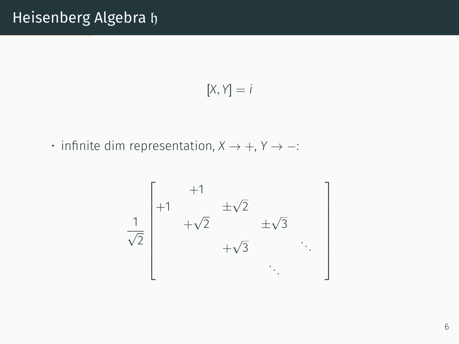$$
[X,Y]=i
$$

• infinite dim representation, *X →* +, *Y → −*:

$$
\frac{1}{\sqrt{2}}\begin{bmatrix} +1 & \pm\sqrt{2} \\ +\sqrt{2} & \pm\sqrt{3} \\ +\sqrt{3} & \ddots \end{bmatrix}
$$

1  $\mathbf{I}$  $\overline{1}$  $\overline{1}$  $\overline{1}$  $\overline{1}$  $\overline{1}$  $\overline{1}$  $\overline{1}$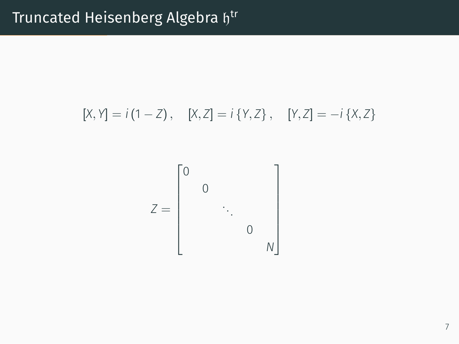$$
[X, Y] = i (1 - Z), \quad [X, Z] = i \{Y, Z\}, \quad [Y, Z] = -i \{X, Z\}
$$

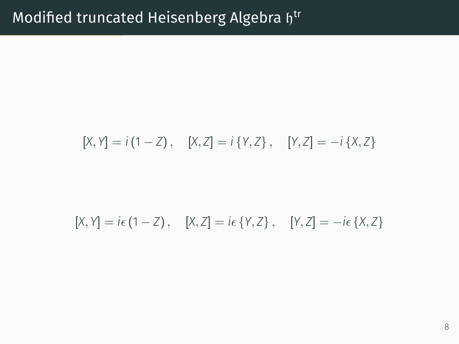$$
[X, Y] = i (1 - Z), \quad [X, Z] = i \{Y, Z\}, \quad [Y, Z] = -i \{X, Z\}
$$

$$
[X,Y] = i\epsilon (1 - Z), \quad [X,Z] = i\epsilon \{Y,Z\}, \quad [Y,Z] = -i\epsilon \{X,Z\}
$$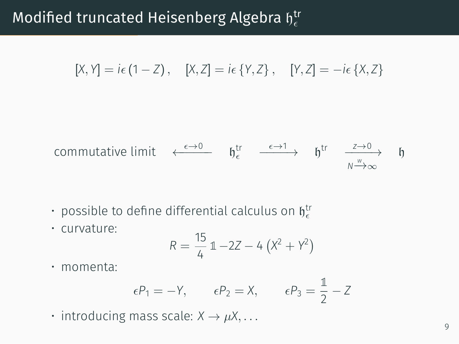# Modified truncated Heisenberg Algebra  $\mathfrak{h}^{\mathsf{tr}}_\epsilon$

$$
[X,Y] = i\epsilon (1 - Z), \quad [X,Z] = i\epsilon \{Y,Z\}, \quad [Y,Z] = -i\epsilon \{X,Z\}
$$

commutative limit 
$$
\leftarrow
$$
<sup>ε→0</sup>  $\qquad$   $\qquad$   $\qquad$   $\qquad$   $\qquad$   $\qquad$   $\qquad$   $\qquad$   $\qquad$   $\qquad$   $\qquad$   $\qquad$   $\qquad$   $\qquad$   $\qquad$   $\qquad$   $\qquad$   $\qquad$   $\qquad$   $\qquad$   $\qquad$   $\qquad$   $\qquad$   $\qquad$   $\qquad$   $\qquad$   $\qquad$   $\qquad$   $\qquad$   $\qquad$   $\qquad$   $\qquad$   $\qquad$   $\qquad$   $\qquad$   $\qquad$   $\qquad$   $\qquad$   $\qquad$   $\qquad$   $\qquad$   $\qquad$   $\qquad$   $\qquad$   $\qquad$   $\qquad$   $\qquad$   $\qquad$   $\qquad$   $\qquad$   $\qquad$   $\qquad$   $\qquad$   $\qquad$   $\qquad$   $\qquad$   $\qquad$   $\qquad$   $\qquad$   $\qquad$   $\qquad$   $\qquad$   $\qquad$   $\qquad$   $\qquad$   $\qquad$   $\qquad$   $\qquad$   $\qquad$   $\qquad$   $\qquad$   $\qquad$   $\qquad$   $\qquad$   $\qquad$   $\qquad$   $\qquad$   $\qquad$   $\qquad$   $\qquad$   $\qquad$   $\qquad$   $\qquad$   $\qquad$   $\qquad$   $\qquad$   $\qquad$   $\qquad$   $\qquad$   $\qquad$   $\qquad$   $\qquad$   $\qquad$  <

- $\cdot$  possible to define differential calculus on  $\mathfrak{h}^{\text{tr}}_{\epsilon}$
- curvature:

$$
R = \frac{15}{4} 1 - 2Z - 4 (X^2 + Y^2)
$$

• momenta:

$$
\epsilon P_1 = -Y
$$
,  $\epsilon P_2 = X$ ,  $\epsilon P_3 = \frac{1}{2} - Z$ 

• introducing mass scale:  $X \rightarrow \mu X, \ldots$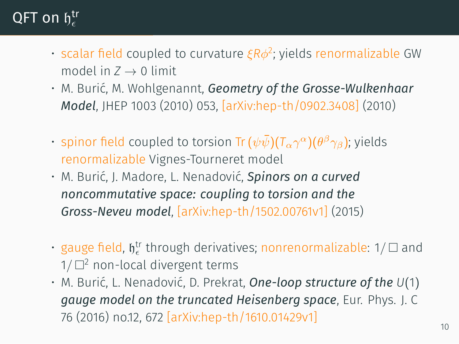# $\mathsf{QFT}$  on  $\mathfrak{h}^{\mathsf{tr}}_\epsilon$

- scalar field coupled to curvature *ξRϕ* 2 ; yields renormalizable GW model in  $Z \rightarrow 0$  limit
- M. Burić, M. Wohlgenannt, *Geometry of the Grosse-Wulkenhaar Model*, JHEP 1003 (2010) 053, [arXiv:hep-th/0902.3408] (2010)
- $\cdot$  spinor field coupled to torsion Tr $(\psi\bar{\psi})(T_{\alpha}\gamma^{\alpha})(\theta^{\beta}\gamma_{\beta})$ ; yields renormalizable Vignes-Tourneret model
- M. Burić, J. Madore, L. Nenadović, *Spinors on a curved noncommutative space: coupling to torsion and the Gross-Neveu model*, [arXiv:hep-th/1502.00761v1] (2015)
- gauge field,  $\mathfrak{h}_\epsilon^{\text{tr}}$  through derivatives; nonrenormalizable: 1/ □ and  $1/\square^2$  non-local divergent terms
- M. Burić, L. Nenadović, D. Prekrat, *One-loop structure of the U*(1) *gauge model on the truncated Heisenberg space*, Eur. Phys. J. C 76 (2016) no.12, 672 [arXiv:hep-th/1610.01429v1]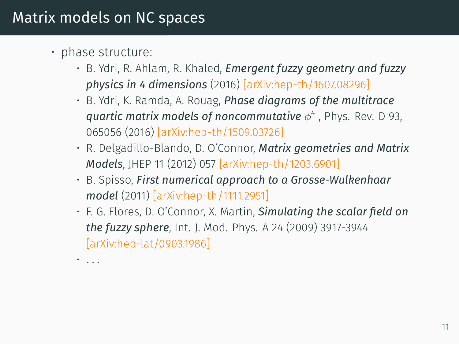#### Matrix models on NC spaces

- phase structure:
	- B. Ydri, R. Ahlam, R. Khaled, *Emergent fuzzy geometry and fuzzy physics in 4 dimensions* (2016) [arXiv:hep-th/1607.08296]
	- B. Ydri, K. Ramda, A. Rouag, *Phase diagrams of the multitrace quartic matrix models of noncommutative ϕ* 4 , Phys. Rev. D 93, 065056 (2016) [arXiv:hep-th/1509.03726]
	- R. Delgadillo-Blando, D. O'Connor, *Matrix geometries and Matrix Models*, JHEP 11 (2012) 057 [arXiv:hep-th/1203.6901]
	- B. Spisso, *First numerical approach to a Grosse-Wulkenhaar model* (2011) [arXiv:hep-th/1111.2951]
	- F. G. Flores, D. O'Connor, X. Martin, *Simulating the scalar field on the fuzzy sphere*, Int. J. Mod. Phys. A 24 (2009) 3917-3944 [arXiv:hep-lat/0903.1986]
	- *. . .*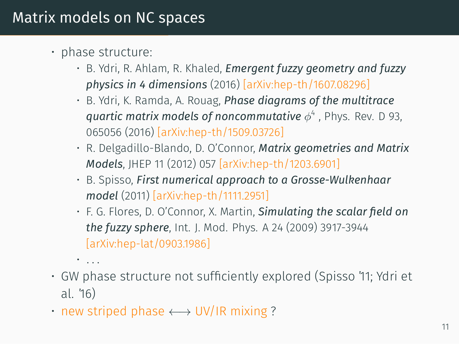#### Matrix models on NC spaces

- phase structure:
	- B. Ydri, R. Ahlam, R. Khaled, *Emergent fuzzy geometry and fuzzy physics in 4 dimensions* (2016) [arXiv:hep-th/1607.08296]
	- B. Ydri, K. Ramda, A. Rouag, *Phase diagrams of the multitrace quartic matrix models of noncommutative ϕ* 4 , Phys. Rev. D 93, 065056 (2016) [arXiv:hep-th/1509.03726]
	- R. Delgadillo-Blando, D. O'Connor, *Matrix geometries and Matrix Models*, JHEP 11 (2012) 057 [arXiv:hep-th/1203.6901]
	- B. Spisso, *First numerical approach to a Grosse-Wulkenhaar model* (2011) [arXiv:hep-th/1111.2951]
	- F. G. Flores, D. O'Connor, X. Martin, *Simulating the scalar field on the fuzzy sphere*, Int. J. Mod. Phys. A 24 (2009) 3917-3944 [arXiv:hep-lat/0903.1986]
	- *. . .*
- GW phase structure not sufficiently explored (Spisso '11; Ydri et al. '16)
- new striped phase *←→* UV/IR mixing ?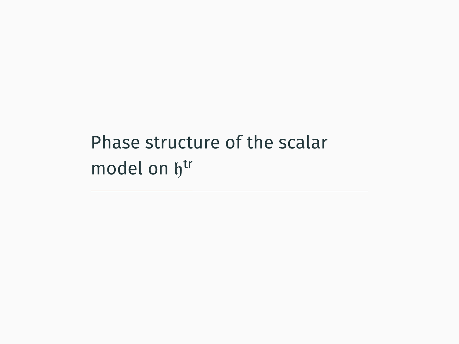Phase structure of the scalar model on htr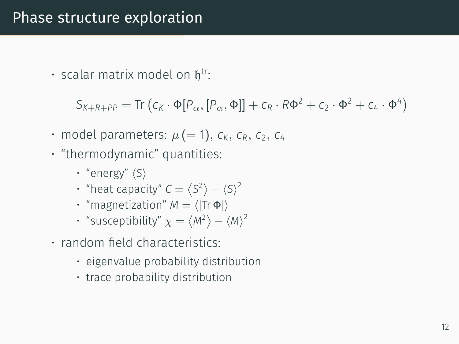#### Phase structure exploration

 $\cdot$  scalar matrix model on  $\mathfrak{h}^{\mathsf{tr}}$ :

*S*<sub>*K*+*R*+*PP*</sub> = Tr (*c<sub>K</sub> ·* Φ[*P<sub>α</sub>,* [*P<sub>α</sub>,* 4]] + *c<sub>R</sub> · R*Φ<sup>2</sup> + *c*<sub>2</sub> *·* Φ<sup>2</sup> + *c*<sub>4</sub> *·* Φ<sup>4</sup>)

- model parameters:  $\mu$  (= 1),  $c_K$ ,  $c_R$ ,  $c_2$ ,  $c_4$
- "thermodynamic" quantities:
	- "energy" *⟨S⟩*
	- "heat capacity"  $C = \langle S^2 \rangle \langle S \rangle^2$
	- "magnetization" *M* = *⟨|*Tr Φ*|⟩*
	- "susceptibility"  $\chi = \langle M^2 \rangle \langle M \rangle^2$
- random field characteristics:
	- eigenvalue probability distribution
	- trace probability distribution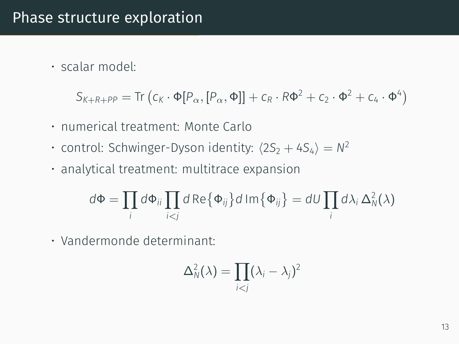• scalar model:

$$
S_{K+R+PP} = \text{Tr} \left( c_K \cdot \Phi[P_\alpha, [P_\alpha, \Phi]] + c_R \cdot R\Phi^2 + c_2 \cdot \Phi^2 + c_4 \cdot \Phi^4 \right)
$$

- numerical treatment: Monte Carlo
- control: Schwinger-Dyson identity:  $\langle 2S_2 + 4S_4 \rangle = N^2$
- analytical treatment: multitrace expansion

$$
d\Phi = \prod_i d\Phi_{ii} \prod_{i < j} d\operatorname{Re}\{\Phi_{ij}\} d\operatorname{Im}\{\Phi_{ij}\} = dU \prod_i d\lambda_i \Delta_N^2(\lambda)
$$

• Vandermonde determinant:

$$
\Delta_N^2(\lambda) = \prod_{i < j} (\lambda_i - \lambda_j)^2
$$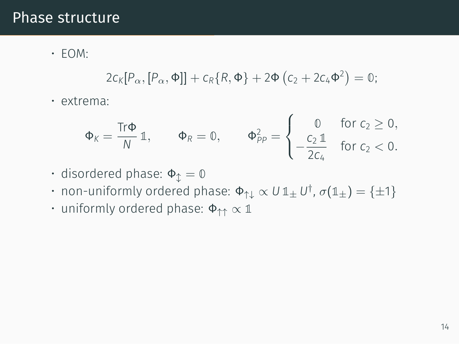#### Phase structure

• EOM:

$$
2c_K[P_\alpha,[P_\alpha,\Phi]]+c_R\{R,\Phi\}+2\Phi\left(c_2+2c_4\Phi^2\right)=0;
$$

• extrema:

$$
\Phi_K = \frac{\text{Tr}\Phi}{N} \, \mathbb{1}, \qquad \Phi_R = \mathbb{0}, \qquad \Phi_{PP}^2 = \begin{cases} \qquad 0 & \text{for } c_2 \geq 0, \\ -\frac{c_2 \, \mathbb{1}}{2c_4} & \text{for } c_2 < 0. \end{cases}
$$

- disordered phase: Φ*↕* = **0**
- $\cdot$  non-uniformly ordered phase:  $\Phi_{\uparrow\downarrow} \propto U \mathbb{1}_{\pm} U^{\dagger}$ ,  $\sigma(\mathbb{1}_{\pm}) = {\pm 1}$
- uniformly ordered phase: Φ*↑↑ ∝* **1**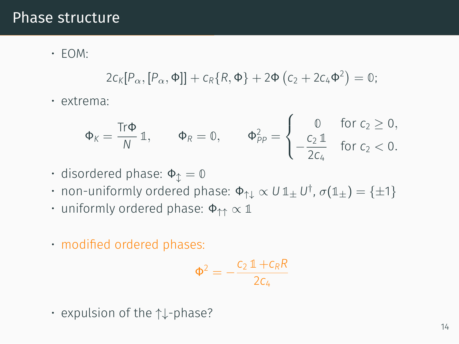#### Phase structure

• EOM:

$$
2c_K[P_\alpha,[P_\alpha,\Phi]]+c_R\{R,\Phi\}+2\Phi\left(c_2+2c_4\Phi^2\right)=0;
$$

• extrema:

$$
\Phi_K = \frac{\text{Tr}\Phi}{N} \mathbb{1}, \qquad \Phi_R = \mathbb{0}, \qquad \Phi_{PP}^2 = \begin{cases} 0 & \text{for } c_2 \geq 0, \\ -\frac{c_2 \mathbb{1}}{2c_4} & \text{for } c_2 < 0. \end{cases}
$$

- disordered phase: Φ*↕* = **0**
- $\cdot$  non-uniformly ordered phase:  $\Phi_{\uparrow\downarrow} \propto U \mathbb{1}_{\pm} U^{\dagger}$ ,  $\sigma(\mathbb{1}_{\pm}) = {\pm 1}$
- uniformly ordered phase: Φ*↑↑ ∝* **1**
- modified ordered phases:

$$
\Phi^2=-\frac{c_2\,\mathbb{1}+c_R R}{2c_4}
$$

• expulsion of the *↑↓*-phase?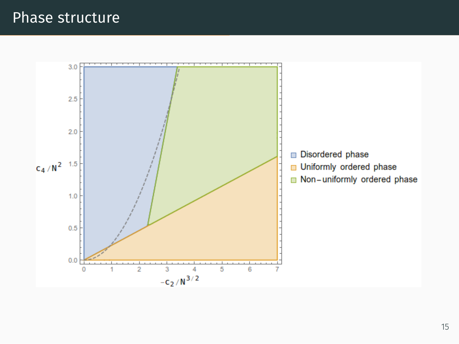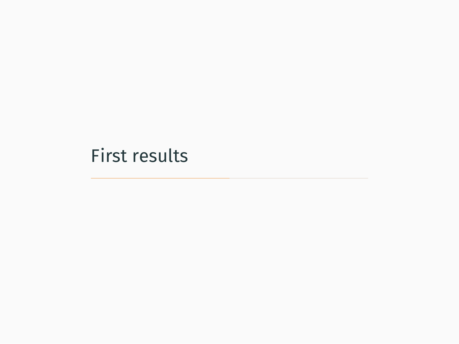# First results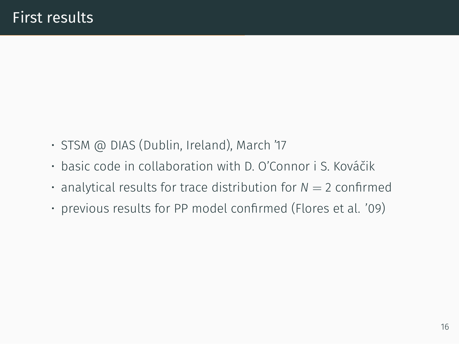- STSM @ DIAS (Dublin, Ireland), March '17
- basic code in collaboration with D. O'Connor i S. Kováčik
- $\cdot$  analytical results for trace distribution for  $N = 2$  confirmed
- previous results for PP model confirmed (Flores et al. '09)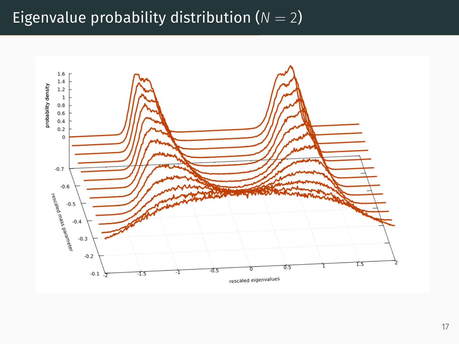# Eigenvalue probability distribution  $(N = 2)$

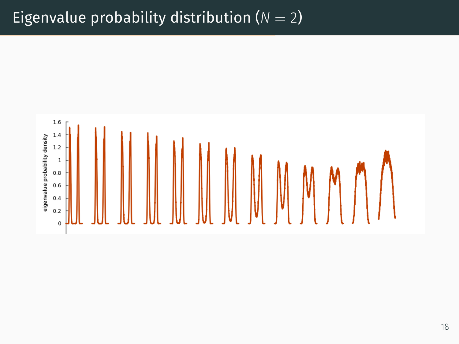## Eigenvalue probability distribution  $(N = 2)$

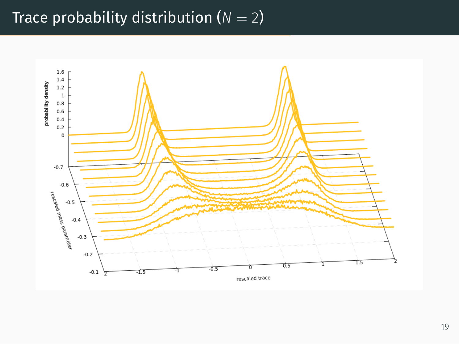# Trace probability distribution  $(N = 2)$

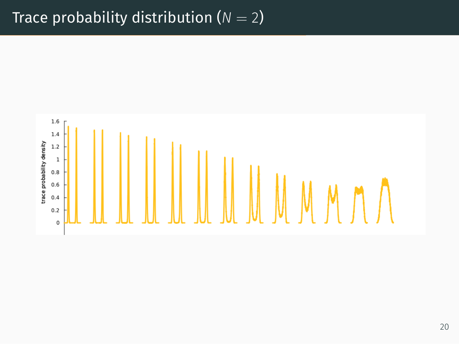## Trace probability distribution  $(N = 2)$

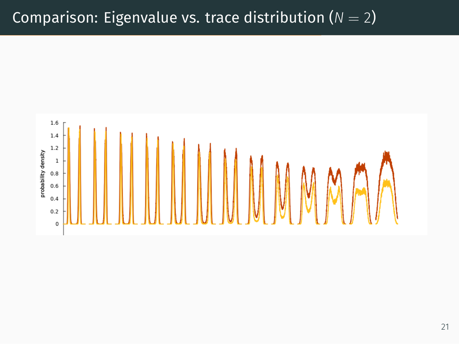### Comparison: Eigenvalue vs. trace distribution  $(N = 2)$

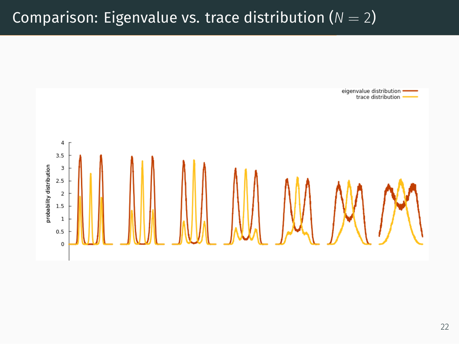# Comparison: Eigenvalue vs. trace distribution  $(N = 2)$

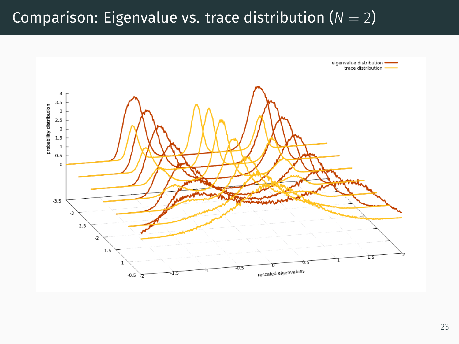# Comparison: Eigenvalue vs. trace distribution  $(N = 2)$

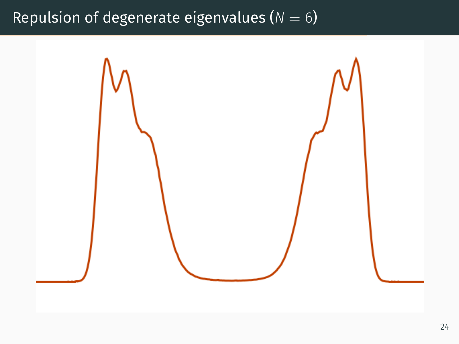# Repulsion of degenerate eigenvalues ( $N = 6$ )

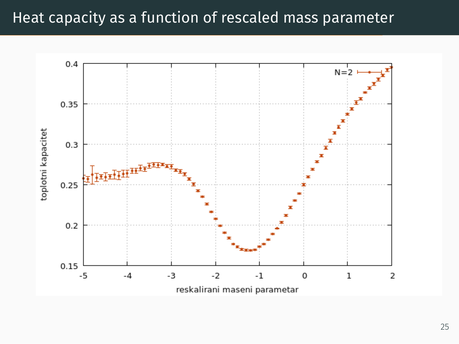## Heat capacity as a function of rescaled mass parameter

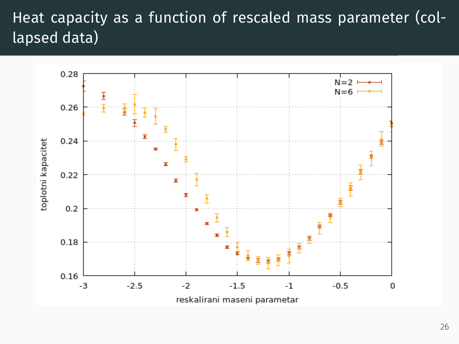# Heat capacity as a function of rescaled mass parameter (collapsed data)

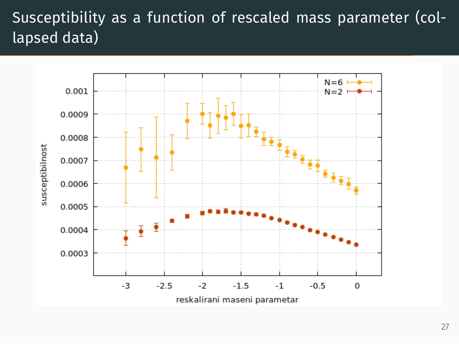# Susceptibility as a function of rescaled mass parameter (collapsed data)

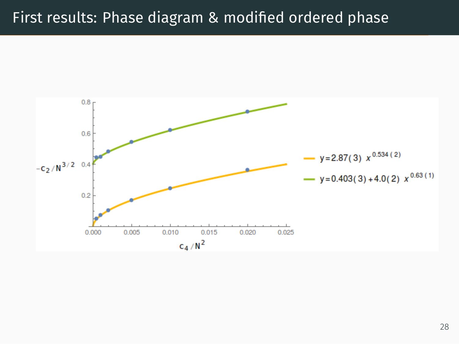## First results: Phase diagram & modified ordered phase

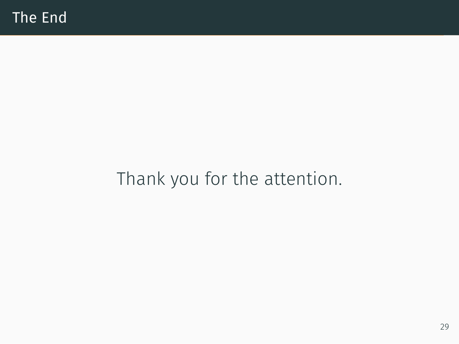# Thank you for the attention.